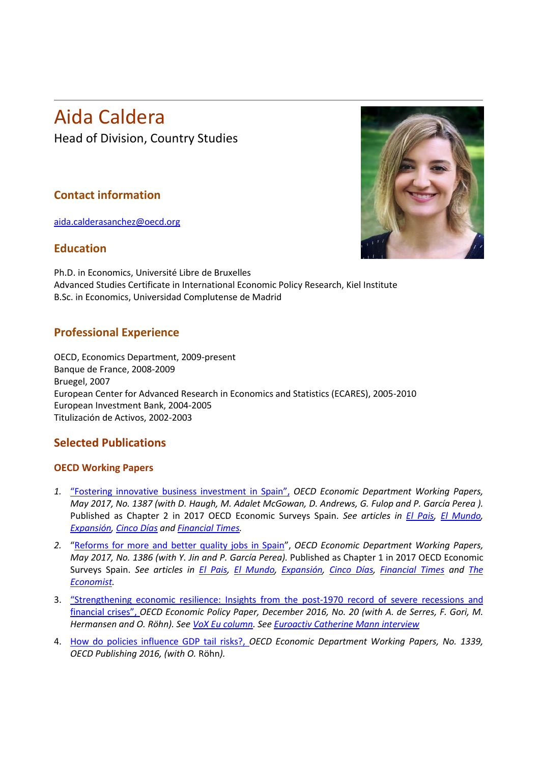# Aida Caldera Head of Division, Country Studies

## **Contact information**

[aida.calderasanchez@oecd.org](mailto:aida.calderasanchez@oecd.org)

#### **Education**



Ph.D. in Economics, Université Libre de Bruxelles Advanced Studies Certificate in International Economic Policy Research, Kiel Institute B.Sc. in Economics, Universidad Complutense de Madrid

### **Professional Experience**

OECD, Economics Department, 2009-present Banque de France, 2008-2009 Bruegel, 2007 European Center for Advanced Research in Economics and Statistics (ECARES), 2005-2010 European Investment Bank, 2004-2005 Titulización de Activos, 2002-2003

## **Selected Publications**

#### **OECD Working Papers**

- *1.* "Fostering innovative [business](http://www.oecd-ilibrary.org/economics/fostering-innovative-business-investment-in-spain_f957c2cc-en) investment in Spain", *OECD Economic Department Working Papers, May 2017, No. 1387 (with D. Haugh, M. Adalet McGowan, D. Andrews, G. Fulop and P. García Perea ).*  Published as Chapter 2 in 2017 OECD Economic Surveys Spain. *See articles in [El Pais,](http://economia.elpais.com/economia/2017/03/14/actualidad/1489484563_440246.html) [El Mundo,](http://www.elmundo.es/economia/2017/03/14/58c7000846163fcb4f8b461d.html)  [Expansión,](http://www.expansion.com/economia/2017/03/14/58c7da88ca47417e098b4645.html) [Cinco Días](https://www.google.fr/amp/cincodias.com/cincodias/2017/03/13/economia/1489427266_631159.amp.html) and [Financial Times.](https://www.ft.com/content/fd833054-1538-11e7-b0c1-37e417ee6c76)*
- *2.* ["Reforms for more and better quality jobs in Spain"](http://www.oecd-ilibrary.org/economics/reforms-for-more-and-better-quality-jobs-in-spain_72275f0b-en), *OECD Economic Department Working Papers, May 2017, No. 1386 (with Y. Jin and P. García Perea).* Published as Chapter 1 in 2017 OECD Economic Surveys Spain. *See articles in [El Pais,](http://economia.elpais.com/economia/2017/03/14/actualidad/1489484563_440246.html) [El Mundo,](http://www.elmundo.es/economia/2017/03/14/58c7000846163fcb4f8b461d.html) [Expansión,](http://www.expansion.com/economia/2017/03/14/58c7da88ca47417e098b4645.html) [Cinco Días,](https://www.google.fr/amp/cincodias.com/cincodias/2017/03/13/economia/1489427266_631159.amp.html) [Financial Times](https://www.ft.com/content/fd833054-1538-11e7-b0c1-37e417ee6c76) and [The](http://www.economist.com/news/europe/21721219-segmented-labour-markets-have-scarred-young-jobseekers-workers-southern-europe-are-stuck)  [Economist.](http://www.economist.com/news/europe/21721219-segmented-labour-markets-have-scarred-young-jobseekers-workers-southern-europe-are-stuck)*
- 3. ["Strengthening economic resilience: Insights from the post-1970 record of severe recessions and](https://www.oecd.org/eco/growth/Strengthening-economic-resilience-insights-from-the-post-1970-record-of-severe-recessions-and-financial-crises-policy-paper-december-2016.pdf)  [financial crises"](https://www.oecd.org/eco/growth/Strengthening-economic-resilience-insights-from-the-post-1970-record-of-severe-recessions-and-financial-crises-policy-paper-december-2016.pdf), *OECD Economic Policy Paper, December 2016, No. 20 (with A. de Serres, F. Gori, M. Hermansen and O. Röhn). Se[e VoX Eu column.](http://voxeu.org/article/economic-resilience-growth-and-economic-fragility-trade) See [Euroactiv Catherine Mann interview](https://www.oecd.org/eco/growth/economic-resilience.htm)*
- 4. [How do policies influence GDP tail risks?,](http://www.oecd-ilibrary.org/docserver/download/5jln0428l1wl-en.pdf?expires=1490619818&id=id&accname=guest&checksum=652034B3A93F8A988D37AC3CE62E396A) *OECD Economic Department Working Papers, No. 1339, OECD Publishing 2016, (with O.* Röhn*).*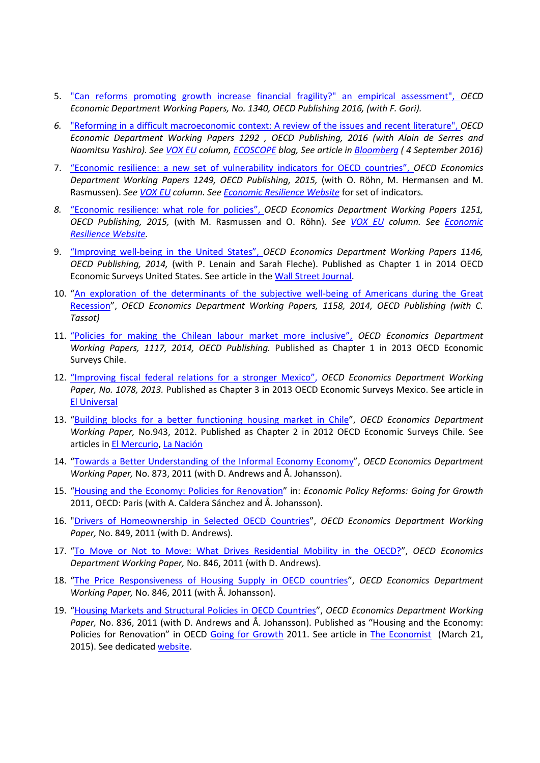- 5. ["Can reforms promoting growth increase financial fragility?" an empirical assessment"](http://www.oecd-ilibrary.org/economics/can-reforms-promoting-growth-increase-financial-fragility_5jln0421ld25-en), *OECD Economic Department Working Papers, No. 1340, OECD Publishing 2016, (with F. Gori).*
- *6.* ["Reforming in a difficult macroeconomic context: A review of the issues and recent literature"](http://www.oecd-ilibrary.org/economics/reforming-in-a-difficult-macroeconomic-context_5jlzgj45b3q0-en), *OECD Economic Department Working Papers 1292 , OECD Publishing, 2016 (with Alain de Serres and Naomitsu Yashiro). Se[e VOX EU](http://voxeu.org/article/structural-reforms-difficult-times) column, [ECOSCOPE](https://oecdecoscope.wordpress.com/2016/05/25/structural-reforms-in-a-difficult-time/) blog, See article in [Bloomberg](https://www.bloomberg.com/view/articles/2016-09-08/a-rock-star-economist-s-warning-on-low-rates) ( 4 September 2016)*
- 7. ["Economic resilience: a new set of vulnerability indicators for OECD countries"](http://dx.doi.org/10.1787/5jrxhgjw54r8-en), *OECD Economics Department Working Papers 1249, OECD Publishing, 2015,* (with O. Röhn, M. Hermansen and M. Rasmussen). *See [VOX EU](http://voxeu.org/article/economic-resilience-new-set-vulnerability-indicators) column. Se[e Economic Resilience Website](http://www.oecd.org/economy/growth/economic-resilience.htm)* for set of indicators*.*
- *8.* ["Economic resilience: what role for policies"](http://dx.doi.org/10.1787/5jrxhgf61q5j-en), *OECD Economics Department Working Papers 1251, OECD Publishing, 2015,* (with M. Rasmussen and O. Röhn). *See [VOX EU](http://voxeu.org/article/economic-resilience-new-set-vulnerability-indicators) column. See [Economic](http://www.oecd.org/economy/growth/economic-resilience.htm)  [Resilience Website.](http://www.oecd.org/economy/growth/economic-resilience.htm)*
- 9. ["Improving well-being in the United States"](https://ideas.repec.org/p/oec/ecoaaa/1146-en.html), *OECD Economics Department Working Papers 1146, OECD Publishing, 2014,* (with P. Lenain and Sarah Fleche). Published as Chapter 1 in 2014 OECD Economic Surveys United States. See article in the [Wall Street Journal.](http://blogs.wsj.com/numbers/some-advice-on-making-americans-happier-1511/)
- 10. "An exploration of the determinants of the subjective well-being of Americans during the Great [Recession"](https://ideas.repec.org/p/oec/ecoaaa/1158-en.html), *OECD Economics Department Working Papers, 1158, 2014, OECD Publishing (with C. Tassot)*
- 11. ["Policies for making the Chilean labour market more inclusive"](https://ideas.repec.org/p/oec/ecoaaa/1117-en.html), *OECD Economics Department Working Papers, 1117, 2014, OECD Publishing.* Published as Chapter 1 in 2013 OECD Economic Surveys Chile.
- 12. "Improving fiscal federal relations for a stronger Mexico", *OECD Economics Department Working Paper, No. 1078, 2013.* Published as Chapter 3 in 2013 OECD Economic Surveys Mexico. See article in [El Universal](http://archivo.eluniversal.com.mx/finanzas/102456.html)
- 13. ["Building blocks for a better functioning housing market in Chile"](http://olisweb.oecd.org/vgn-ext-templating/auth.jsp?docId=JT03315592&documentId=492100&original=/ECO-WKP(2012)20-ENG.pdf&date=1328697782153&fileName=JT03315592.pdf&organisationId=1&originalURI=/vgn-ext-templating/auth.jsp), *OECD Economics Department Working Paper,* No.943, 2012. Published as Chapter 2 in 2012 OECD Economic Surveys Chile. See articles in [El Mercurio,](http://www.emol.com/noticias/economia/2012/01/17/521920/ocde-chile-erradicaria-la-pobreza-si-invierte-el-1--del-pib-en-gasto-social.html) [La Nación](http://www.lanacion.cl/noticias/economia/ocde/ocde-chile-erradicaria-la-pobreza-si-invierte-el-1-del-pib-en-gasto/2012-01-17/080107.html)
- 14. ["Towards a Better Understanding of the Informal Economy](http://www.oecd-ilibrary.org/economics/towards-a-better-understanding-of-the-informal-economy_5kgb1mf88x28-en) [Economy"](http://www.oecd-ilibrary.org/economics/towards-a-better-understanding-of-the-informal-economy_5kgb1mf88x28-en), *OECD Economics Department Working Paper,* No. 873, 2011 (with D. Andrews and Å. Johansson).
- 15. ["Housing and the Economy: Policies for Renovation"](http://www.oecd-ilibrary.org/economics/economic-policy-reforms-2011/housing-and-the-economy-policies-for-renovation_growth-2011-46-en) in: *Economic Policy Reforms: Going for Growth*  2011, OECD: Paris (with A. Caldera Sánchez and Å. Johansson).
- 16. ["Drivers of Homeownership in Selected OECD Countries](http://www.oecd-ilibrary.org/economics/drivers-of-homeownership-rates-in-selected-oecd-countries_5kgg9mcwc7jf-en)[",](http://ideas.repec.org/p/oec/ecoaaa/849-en.html) *OECD Economics Department Working Paper,* No. 849, 2011 (with D. Andrews).
- 17. ["To Move or Not to Move: What Drives Residential Mobility in the OECD?"](http://www.oecd-ilibrary.org/economics/to-move-or-not-to-move-what-drives-residential-mobility-rates-in-the-oecd_5kghtc7kzx21-en), *OECD Economics Department Working Paper,* No. 846, 2011 (with D. Andrews).
- 18. ["The Price Responsiveness of Housing Supply in OECD countries"](http://ideas.repec.org/p/oec/ecoaaa/837-en.html), *OECD Economics Department Working Paper,* No. 846, 2011 (with Å. Johansson).
- 19. ["Housing Markets and Structural Policies in OECD Countries"](http://www.oecd-ilibrary.org/economics/housing-markets-and-structural-policies-in-oecd-countries_5kgk8t2k9vf3-en), *OECD Economics Department Working Paper,* No. 836, 2011 (with D. Andrews and Å. Johansson). Published as "Housing and the Economy: Policies for Renovation" in OECD [Going for Growth](http://www.oecd.org/eco/growth/goingforgrowth.htm) 2011. See article in [The Economist](http://www.economist.com/news/finance-and-economics/21646801-highly-regulated-profession-fights-preserve-its-privileges-princes) (March 21, 2015). See dedicated [website.](http://www.oecd.org/eco/growth/housing-and-the-economy.htm)